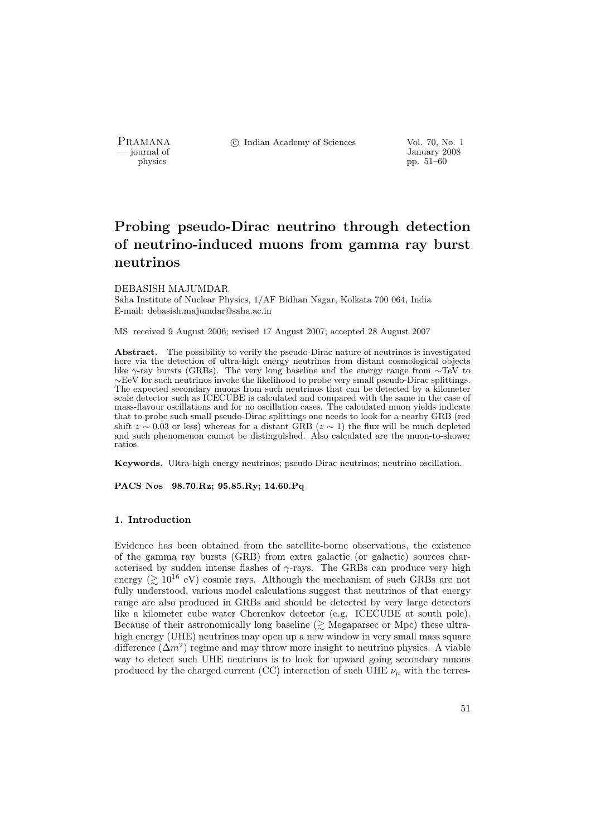PRAMANA °c Indian Academy of Sciences Vol. 70, No. 1

burnal of January 2008<br>
physics pp. 51–60 pp. 51–60

# Probing pseudo-Dirac neutrino through detection of neutrino-induced muons from gamma ray burst neutrinos

#### DEBASISH MAJUMDAR

Saha Institute of Nuclear Physics, 1/AF Bidhan Nagar, Kolkata 700 064, India E-mail: debasish.majumdar@saha.ac.in

MS received 9 August 2006; revised 17 August 2007; accepted 28 August 2007

Abstract. The possibility to verify the pseudo-Dirac nature of neutrinos is investigated here via the detection of ultra-high energy neutrinos from distant cosmological objects like γ-ray bursts (GRBs). The very long baseline and the energy range from ∼TeV to ∼EeV for such neutrinos invoke the likelihood to probe very small pseudo-Dirac splittings. The expected secondary muons from such neutrinos that can be detected by a kilometer scale detector such as ICECUBE is calculated and compared with the same in the case of mass-flavour oscillations and for no oscillation cases. The calculated muon yields indicate that to probe such small pseudo-Dirac splittings one needs to look for a nearby GRB (red shift  $z \sim 0.03$  or less) whereas for a distant GRB ( $z \sim 1$ ) the flux will be much depleted and such phenomenon cannot be distinguished. Also calculated are the muon-to-shower ratios.

Keywords. Ultra-high energy neutrinos; pseudo-Dirac neutrinos; neutrino oscillation.

PACS Nos 98.70.Rz; 95.85.Ry; 14.60.Pq

#### 1. Introduction

Evidence has been obtained from the satellite-borne observations, the existence of the gamma ray bursts (GRB) from extra galactic (or galactic) sources characterised by sudden intense flashes of  $\gamma$ -rays. The GRBs can produce very high energy ( $\geq 10^{16}$  eV) cosmic rays. Although the mechanism of such GRBs are not fully understood, various model calculations suggest that neutrinos of that energy range are also produced in GRBs and should be detected by very large detectors like a kilometer cube water Cherenkov detector (e.g. ICECUBE at south pole). Because of their astronomically long baseline  $(\geq)$  Megaparsec or Mpc) these ultrahigh energy (UHE) neutrinos may open up a new window in very small mass square difference  $(\Delta m^2)$  regime and may throw more insight to neutrino physics. A viable way to detect such UHE neutrinos is to look for upward going secondary muons produced by the charged current (CC) interaction of such UHE  $\nu_{\mu}$  with the terres-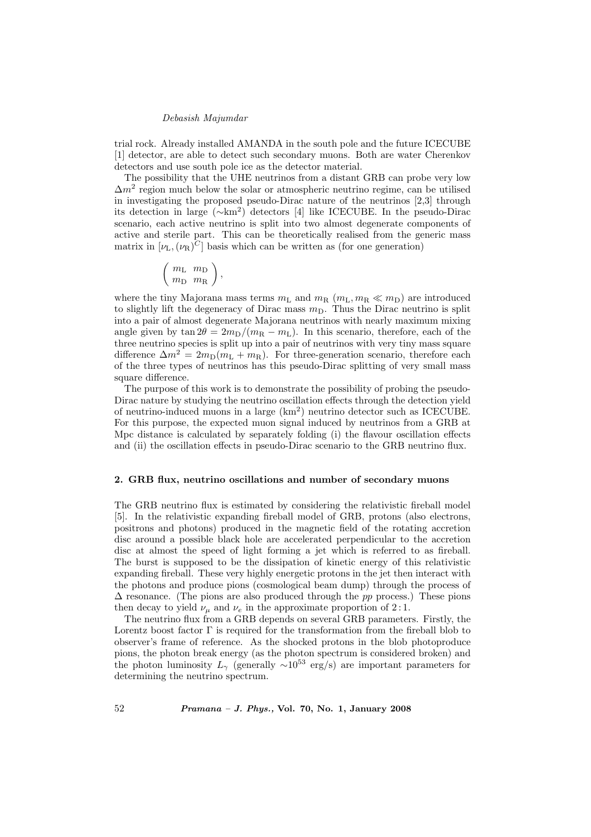trial rock. Already installed AMANDA in the south pole and the future ICECUBE [1] detector, are able to detect such secondary muons. Both are water Cherenkov detectors and use south pole ice as the detector material.

The possibility that the UHE neutrinos from a distant GRB can probe very low  $\Delta m^2$  region much below the solar or atmospheric neutrino regime, can be utilised in investigating the proposed pseudo-Dirac nature of the neutrinos [2,3] through its detection in large (∼km<sup>2</sup> ) detectors [4] like ICECUBE. In the pseudo-Dirac scenario, each active neutrino is split into two almost degenerate components of active and sterile part. This can be theoretically realised from the generic mass matrix in  $[\nu_L, (\nu_R)^C]$  basis which can be written as (for one generation)

$$
\left(\begin{array}{cc} m_\text{L} & m_\text{D} \\ m_\text{D} & m_\text{R} \end{array}\right),
$$

where the tiny Majorana mass terms  $m<sub>L</sub>$  and  $m<sub>R</sub>$  ( $m<sub>L</sub>$ ,  $m<sub>R</sub> \ll m<sub>D</sub>$ ) are introduced to slightly lift the degeneracy of Dirac mass  $m<sub>D</sub>$ . Thus the Dirac neutrino is split into a pair of almost degenerate Majorana neutrinos with nearly maximum mixing angle given by  $\tan 2\theta = 2m_D/(m_R - m_L)$ . In this scenario, therefore, each of the three neutrino species is split up into a pair of neutrinos with very tiny mass square difference  $\Delta m^2 = 2m_D(m_L + m_R)$ . For three-generation scenario, therefore each of the three types of neutrinos has this pseudo-Dirac splitting of very small mass square difference.

The purpose of this work is to demonstrate the possibility of probing the pseudo-Dirac nature by studying the neutrino oscillation effects through the detection yield of neutrino-induced muons in a large (km<sup>2</sup> ) neutrino detector such as ICECUBE. For this purpose, the expected muon signal induced by neutrinos from a GRB at Mpc distance is calculated by separately folding (i) the flavour oscillation effects and (ii) the oscillation effects in pseudo-Dirac scenario to the GRB neutrino flux.

# 2. GRB flux, neutrino oscillations and number of secondary muons

The GRB neutrino flux is estimated by considering the relativistic fireball model [5]. In the relativistic expanding fireball model of GRB, protons (also electrons, positrons and photons) produced in the magnetic field of the rotating accretion disc around a possible black hole are accelerated perpendicular to the accretion disc at almost the speed of light forming a jet which is referred to as fireball. The burst is supposed to be the dissipation of kinetic energy of this relativistic expanding fireball. These very highly energetic protons in the jet then interact with the photons and produce pions (cosmological beam dump) through the process of  $\Delta$  resonance. (The pions are also produced through the pp process.) These pions then decay to yield  $\nu_{\mu}$  and  $\nu_{e}$  in the approximate proportion of 2:1.

The neutrino flux from a GRB depends on several GRB parameters. Firstly, the Lorentz boost factor  $\Gamma$  is required for the transformation from the fireball blob to observer's frame of reference. As the shocked protons in the blob photoproduce pions, the photon break energy (as the photon spectrum is considered broken) and the photon luminosity  $L_{\gamma}$  (generally ~10<sup>53</sup> erg/s) are important parameters for determining the neutrino spectrum.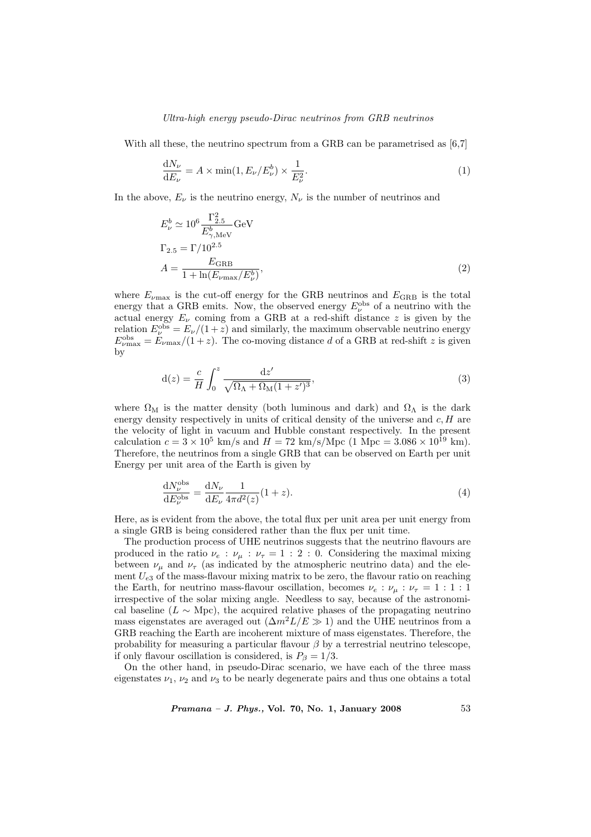## Ultra-high energy pseudo-Dirac neutrinos from GRB neutrinos

With all these, the neutrino spectrum from a GRB can be parametrised as [6,7]

$$
\frac{dN_{\nu}}{dE_{\nu}} = A \times \min(1, E_{\nu}/E_{\nu}^{b}) \times \frac{1}{E_{\nu}^{2}}.
$$
\n(1)

In the above,  $E_{\nu}$  is the neutrino energy,  $N_{\nu}$  is the number of neutrinos and

$$
E_{\nu}^{b} \simeq 10^{6} \frac{\Gamma_{2.5}^{2}}{E_{\gamma, \text{MeV}}^{b}} \text{GeV}
$$
  
\n
$$
\Gamma_{2.5} = \Gamma/10^{2.5}
$$
  
\n
$$
A = \frac{E_{\text{GRB}}}{1 + \ln(E_{\nu \text{max}}/E_{\nu}^{b})},
$$
\n(2)

where  $E_{\nu_{\text{max}}}$  is the cut-off energy for the GRB neutrinos and  $E_{\text{GRB}}$  is the total energy that a GRB emits. Now, the observed energy  $E_{\nu}^{\rm obs}$  of a neutrino with the actual energy  $E_{\nu}$  coming from a GRB at a red-shift distance z is given by the relation  $E_{\nu}^{\text{obs}} = E_{\nu}/(1+z)$  and similarly, the maximum observable neutrino energy  $E_{\nu_{\text{max}}}^{\text{obs}} = E_{\nu_{\text{max}}}/(1+z)$ . The co-moving distance d of a GRB at red-shift z is given by

$$
d(z) = \frac{c}{H} \int_0^z \frac{dz'}{\sqrt{\Omega_\Lambda + \Omega_M (1 + z')^3}},\tag{3}
$$

where  $\Omega_M$  is the matter density (both luminous and dark) and  $\Omega_{\Lambda}$  is the dark energy density respectively in units of critical density of the universe and  $c, H$  are the velocity of light in vacuum and Hubble constant respectively. In the present calculation  $c = 3 \times 10^5$  km/s and  $H = 72$  km/s/Mpc (1 Mpc =  $3.086 \times 10^{19}$  km). Therefore, the neutrinos from a single GRB that can be observed on Earth per unit Energy per unit area of the Earth is given by

$$
\frac{\mathrm{d}N_{\nu}^{\text{obs}}}{\mathrm{d}E_{\nu}^{\text{obs}}} = \frac{\mathrm{d}N_{\nu}}{\mathrm{d}E_{\nu}} \frac{1}{4\pi d^2(z)} (1+z). \tag{4}
$$

Here, as is evident from the above, the total flux per unit area per unit energy from a single GRB is being considered rather than the flux per unit time.

The production process of UHE neutrinos suggests that the neutrino flavours are produced in the ratio  $\nu_e : \nu_\mu : \nu_\tau = 1 : 2 : 0$ . Considering the maximal mixing between  $\nu_{\mu}$  and  $\nu_{\tau}$  (as indicated by the atmospheric neutrino data) and the element  $U_{e3}$  of the mass-flavour mixing matrix to be zero, the flavour ratio on reaching the Earth, for neutrino mass-flavour oscillation, becomes  $\nu_e : \nu_\mu : \nu_\tau = 1 : 1 : 1$ irrespective of the solar mixing angle. Needless to say, because of the astronomical baseline ( $L \sim \text{Mpc}$ ), the acquired relative phases of the propagating neutrino mass eigenstates are averaged out  $(\Delta m^2 L/E \gg 1)$  and the UHE neutrinos from a GRB reaching the Earth are incoherent mixture of mass eigenstates. Therefore, the probability for measuring a particular flavour  $\beta$  by a terrestrial neutrino telescope, if only flavour oscillation is considered, is  $P_\beta = 1/3$ .

On the other hand, in pseudo-Dirac scenario, we have each of the three mass eigenstates  $\nu_1$ ,  $\nu_2$  and  $\nu_3$  to be nearly degenerate pairs and thus one obtains a total

*Pramana – J. Phys.*, Vol. 70, No. 1, January 2008  $53$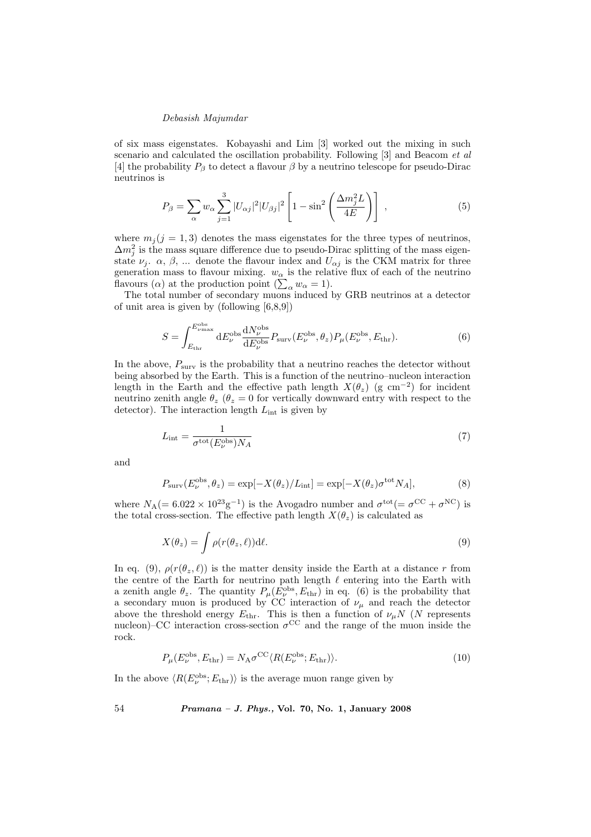of six mass eigenstates. Kobayashi and Lim [3] worked out the mixing in such scenario and calculated the oscillation probability. Following [3] and Beacom et al [4] the probability  $P_\beta$  to detect a flavour  $\beta$  by a neutrino telescope for pseudo-Dirac neutrinos is

$$
P_{\beta} = \sum_{\alpha} w_{\alpha} \sum_{j=1}^{3} |U_{\alpha j}|^2 |U_{\beta j}|^2 \left[1 - \sin^2 \left(\frac{\Delta m_j^2 L}{4E}\right)\right],\tag{5}
$$

where  $m_i (j = 1, 3)$  denotes the mass eigenstates for the three types of neutrinos,  $\Delta m_j^2$  is the mass square difference due to pseudo-Dirac splitting of the mass eigenstate  $\nu_j$ .  $\alpha$ ,  $\beta$ , ... denote the flavour index and  $U_{\alpha j}$  is the CKM matrix for three generation mass to flavour mixing.  $w_{\alpha}$  is the relative flux of each of the neutrino generation mass to navour mixing.  $w_{\alpha}$  is the relation flavours  $(\alpha)$  at the production point  $(\sum_{\alpha} w_{\alpha} = 1)$ .

The total number of secondary muons induced by GRB neutrinos at a detector of unit area is given by (following  $[6,8,9]$ )

$$
S = \int_{E_{\text{thr}}}^{E_{\nu_{\text{max}}}^{\text{obs}}} dE_{\nu}^{\text{obs}} \frac{dN_{\nu}^{\text{obs}}}{dE_{\nu}^{\text{obs}}} P_{\text{surv}}(E_{\nu}^{\text{obs}}, \theta_z) P_{\mu}(E_{\nu}^{\text{obs}}, E_{\text{thr}}). \tag{6}
$$

In the above,  $P_{\text{surv}}$  is the probability that a neutrino reaches the detector without being absorbed by the Earth. This is a function of the neutrino–nucleon interaction length in the Earth and the effective path length  $X(\theta_z)$  (g cm<sup>-2</sup>) for incident neutrino zenith angle  $\theta_z$  ( $\theta_z = 0$  for vertically downward entry with respect to the detector). The interaction length  $L_{int}$  is given by

$$
L_{\rm int} = \frac{1}{\sigma^{\rm tot}(E_{\nu}^{\rm obs})N_A} \tag{7}
$$

and

$$
P_{\text{surv}}(E_{\nu}^{\text{obs}}, \theta_z) = \exp[-X(\theta_z)/L_{\text{int}}] = \exp[-X(\theta_z)\sigma^{\text{tot}}N_A],\tag{8}
$$

where  $N_A (= 6.022 \times 10^{23} \text{g}^{-1})$  is the Avogadro number and  $\sigma^{\text{tot}} (= \sigma^{\text{CC}} + \sigma^{\text{NC}})$  is the total cross-section. The effective path length  $X(\theta_z)$  is calculated as

$$
X(\theta_z) = \int \rho(r(\theta_z, \ell)) \mathrm{d}\ell. \tag{9}
$$

In eq. (9),  $\rho(r(\theta_z, \ell))$  is the matter density inside the Earth at a distance r from the centre of the Earth for neutrino path length  $\ell$  entering into the Earth with a zenith angle  $\theta_z$ . The quantity  $P_\mu(E_\nu^{\text{obs}}, E_{\text{thr}})$  in eq. (6) is the probability that a secondary muon is produced by CC interaction of  $\nu_{\mu}$  and reach the detector above the threshold energy  $E_{\text{thr}}$ . This is then a function of  $\nu_{\mu}N$  (N represents nucleon)–CC interaction cross-section  $\sigma^{\rm CC}$  and the range of the muon inside the rock.

$$
P_{\mu}(E_{\nu}^{\text{obs}}, E_{\text{thr}}) = N_{\text{A}} \sigma^{\text{CC}} \langle R(E_{\nu}^{\text{obs}}; E_{\text{thr}}) \rangle. \tag{10}
$$

In the above  $\langle R(E_{\nu}^{\text{obs}};E_{\text{thr}}) \rangle$  is the average muon range given by

54 Pramana – J. Phys., Vol. 70, No. 1, January 2008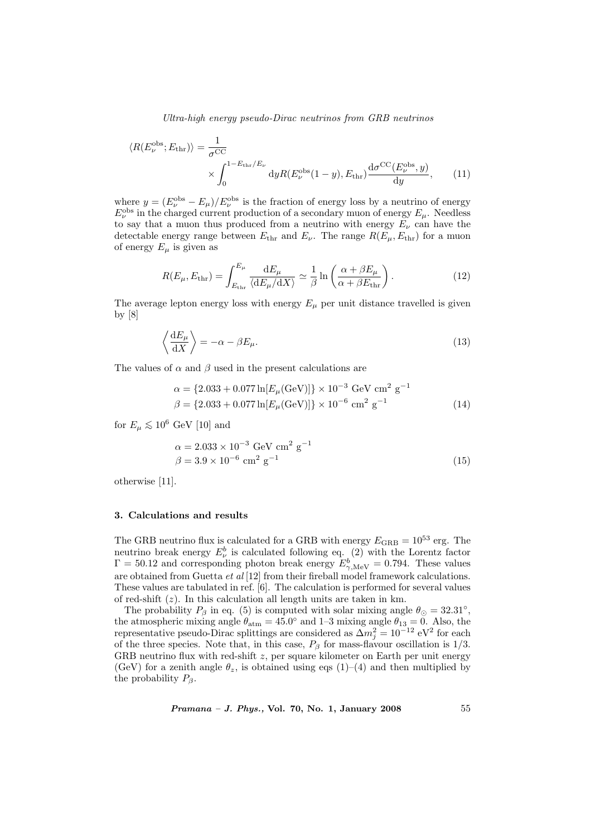Ultra-high energy pseudo-Dirac neutrinos from GRB neutrinos

$$
\langle R(E_{\nu}^{\text{obs}}; E_{\text{thr}}) \rangle = \frac{1}{\sigma^{\text{CC}}} \times \int_{0}^{1 - E_{\text{thr}}/E_{\nu}} dy R(E_{\nu}^{\text{obs}}(1 - y), E_{\text{thr}}) \frac{d\sigma^{\text{CC}}(E_{\nu}^{\text{obs}}, y)}{dy}, \quad (11)
$$

where  $y = (E_{\nu}^{\text{obs}} - E_{\mu})/E_{\nu}^{\text{obs}}$  is the fraction of energy loss by a neutrino of energy  $E_{\nu}^{\rm obs}$  in the charged current production of a secondary muon of energy  $E_{\mu}$ . Needless to say that a muon thus produced from a neutrino with energy  $E_{\nu}$  can have the detectable energy range between  $E_{\text{thr}}$  and  $E_{\nu}$ . The range  $R(E_{\mu}, E_{\text{thr}})$  for a muon of energy  $E_{\mu}$  is given as

$$
R(E_{\mu}, E_{\text{thr}}) = \int_{E_{\text{thr}}}^{E_{\mu}} \frac{\mathrm{d}E_{\mu}}{\langle \mathrm{d}E_{\mu}/\mathrm{d}X \rangle} \simeq \frac{1}{\beta} \ln \left( \frac{\alpha + \beta E_{\mu}}{\alpha + \beta E_{\text{thr}}} \right). \tag{12}
$$

The average lepton energy loss with energy  $E_{\mu}$  per unit distance travelled is given by [8]

$$
\left\langle \frac{\mathrm{d}E_{\mu}}{\mathrm{d}X} \right\rangle = -\alpha - \beta E_{\mu}.\tag{13}
$$

The values of  $\alpha$  and  $\beta$  used in the present calculations are

$$
\alpha = \{2.033 + 0.077 \ln[E_{\mu}(\text{GeV})]\} \times 10^{-3} \text{ GeV cm}^2 \text{ g}^{-1}
$$
  

$$
\beta = \{2.033 + 0.077 \ln[E_{\mu}(\text{GeV})]\} \times 10^{-6} \text{ cm}^2 \text{ g}^{-1}
$$
(14)

for  $E_u \lesssim 10^6$  GeV [10] and

$$
\alpha = 2.033 \times 10^{-3} \text{ GeV cm}^2 \text{ g}^{-1}
$$
  

$$
\beta = 3.9 \times 10^{-6} \text{ cm}^2 \text{ g}^{-1}
$$
 (15)

otherwise [11].

#### 3. Calculations and results

The GRB neutrino flux is calculated for a GRB with energy  $E_{\rm GRB} = 10^{53}$  erg. The neutrino break energy  $E^b_\nu$  is calculated following eq. (2) with the Lorentz factor  $\Gamma = 50.12$  and corresponding photon break energy  $E_{\gamma, \text{MeV}}^b = 0.794$ . These values are obtained from Guetta et al [12] from their fireball model framework calculations. These values are tabulated in ref. [6]. The calculation is performed for several values of red-shift  $(z)$ . In this calculation all length units are taken in km.

The probability  $P_\beta$  in eq. (5) is computed with solar mixing angle  $\theta_\odot = 32.31^\circ$ , the atmospheric mixing angle  $\theta_{\text{atm}} = 45.0^{\circ}$  and 1-3 mixing angle  $\theta_{13} = 0$ . Also, the representative pseudo-Dirac splittings are considered as  $\Delta m_j^2 = 10^{-12} \text{ eV}^2$  for each of the three species. Note that, in this case,  $P_\beta$  for mass-flavour oscillation is 1/3. GRB neutrino flux with red-shift  $z$ , per square kilometer on Earth per unit energy (GeV) for a zenith angle  $\theta_z$ , is obtained using eqs (1)–(4) and then multiplied by the probability  $P_\beta$ .

*Pramana – J. Phys.*, Vol. 70, No. 1, January 2008  $55$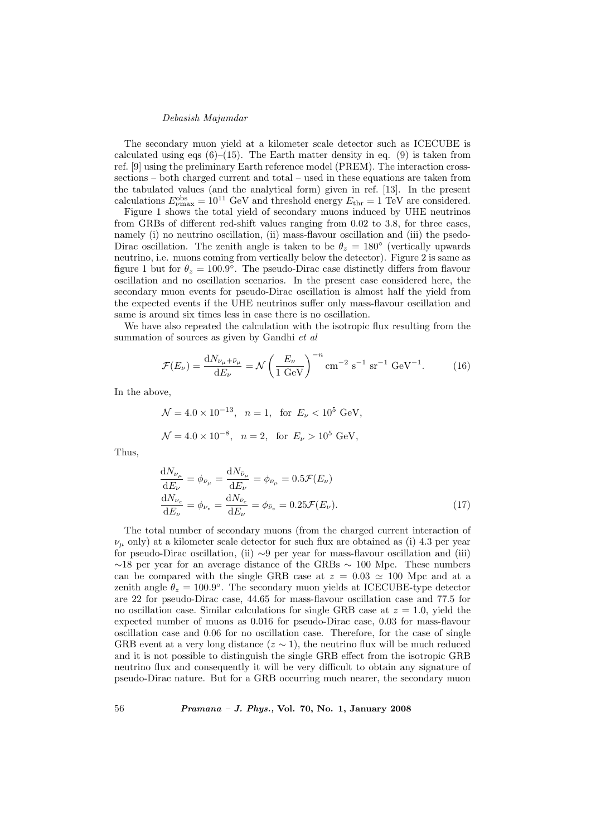The secondary muon yield at a kilometer scale detector such as ICECUBE is calculated using eqs  $(6)$ – $(15)$ . The Earth matter density in eq.  $(9)$  is taken from ref. [9] using the preliminary Earth reference model (PREM). The interaction crosssections – both charged current and total – used in these equations are taken from the tabulated values (and the analytical form) given in ref. [13]. In the present calculations  $E_{\nu_{\text{max}}}^{\text{obs}} = 10^{11} \text{ GeV}$  and threshold energy  $E_{\text{thr}} = 1 \text{ TeV}$  are considered.

Figure 1 shows the total yield of secondary muons induced by UHE neutrinos from GRBs of different red-shift values ranging from 0.02 to 3.8, for three cases, namely (i) no neutrino oscillation, (ii) mass-flavour oscillation and (iii) the psedo-Dirac oscillation. The zenith angle is taken to be  $\theta_z = 180^\circ$  (vertically upwards neutrino, i.e. muons coming from vertically below the detector). Figure 2 is same as figure 1 but for  $\theta_z = 100.9^{\circ}$ . The pseudo-Dirac case distinctly differs from flavour oscillation and no oscillation scenarios. In the present case considered here, the secondary muon events for pseudo-Dirac oscillation is almost half the yield from the expected events if the UHE neutrinos suffer only mass-flavour oscillation and same is around six times less in case there is no oscillation.

We have also repeated the calculation with the isotropic flux resulting from the summation of sources as given by Gandhi et al.

$$
\mathcal{F}(E_{\nu}) = \frac{dN_{\nu_{\mu} + \bar{\nu}_{\mu}}}{dE_{\nu}} = \mathcal{N} \left(\frac{E_{\nu}}{1 \text{ GeV}}\right)^{-n} \text{cm}^{-2} \text{ s}^{-1} \text{ sr}^{-1} \text{ GeV}^{-1}.
$$
 (16)

In the above,

$$
\mathcal{N} = 4.0 \times 10^{-13}
$$
,  $n = 1$ , for  $E_{\nu} < 10^5$  GeV,  
\n $\mathcal{N} = 4.0 \times 10^{-8}$ ,  $n = 2$ , for  $E_{\nu} > 10^5$  GeV,

Thus,

$$
\frac{dN_{\nu_{\mu}}}{dE_{\nu}} = \phi_{\bar{\nu}_{\mu}} = \frac{dN_{\bar{\nu}_{\mu}}}{dE_{\nu}} = \phi_{\bar{\nu}_{\mu}} = 0.5\mathcal{F}(E_{\nu})
$$
\n
$$
\frac{dN_{\nu_{e}}}{dE_{\nu}} = \phi_{\nu_{e}} = \frac{dN_{\bar{\nu}_{e}}}{dE_{\nu}} = \phi_{\bar{\nu}_{e}} = 0.25\mathcal{F}(E_{\nu}).
$$
\n(17)

The total number of secondary muons (from the charged current interaction of  $\nu_{\mu}$  only) at a kilometer scale detector for such flux are obtained as (i) 4.3 per year for pseudo-Dirac oscillation, (ii) ∼9 per year for mass-flavour oscillation and (iii)  $~\sim$ 18 per year for an average distance of the GRBs  $~\sim$  100 Mpc. These numbers can be compared with the single GRB case at  $z = 0.03 \approx 100$  Mpc and at a zenith angle  $\theta_z = 100.9^{\circ}$ . The secondary muon yields at ICECUBE-type detector are 22 for pseudo-Dirac case, 44.65 for mass-flavour oscillation case and 77.5 for no oscillation case. Similar calculations for single GRB case at  $z = 1.0$ , yield the expected number of muons as 0.016 for pseudo-Dirac case, 0.03 for mass-flavour oscillation case and 0.06 for no oscillation case. Therefore, for the case of single GRB event at a very long distance ( $z \sim 1$ ), the neutrino flux will be much reduced and it is not possible to distinguish the single GRB effect from the isotropic GRB neutrino flux and consequently it will be very difficult to obtain any signature of pseudo-Dirac nature. But for a GRB occurring much nearer, the secondary muon

56 Pramana – J. Phys., Vol. 70, No. 1, January 2008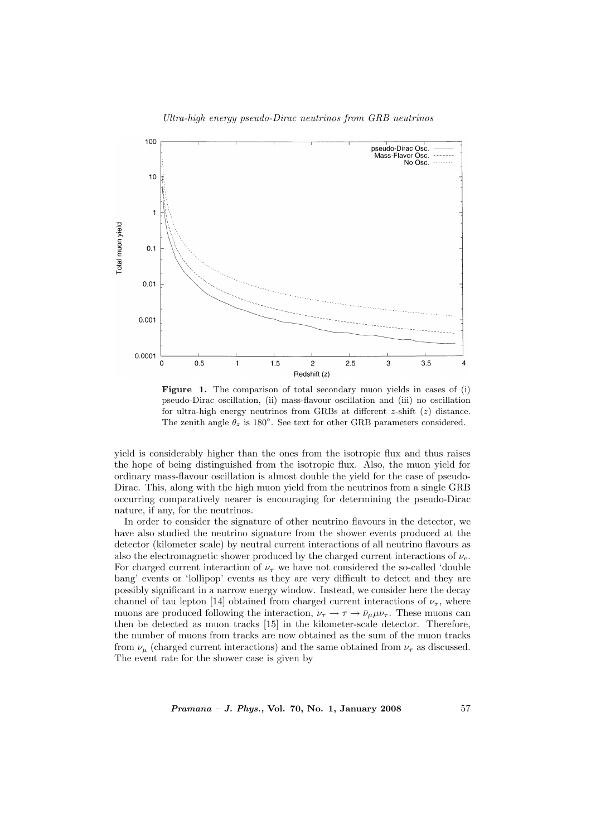

Figure 1. The comparison of total secondary muon yields in cases of (i) pseudo-Dirac oscillation, (ii) mass-flavour oscillation and (iii) no oscillation for ultra-high energy neutrinos from GRBs at different  $z$ -shift  $(z)$  distance. The zenith angle  $\theta_z$  is 180°. See text for other GRB parameters considered.

yield is considerably higher than the ones from the isotropic flux and thus raises the hope of being distinguished from the isotropic flux. Also, the muon yield for ordinary mass-flavour oscillation is almost double the yield for the case of pseudo-Dirac. This, along with the high muon yield from the neutrinos from a single GRB occurring comparatively nearer is encouraging for determining the pseudo-Dirac nature, if any, for the neutrinos.

In order to consider the signature of other neutrino flavours in the detector, we have also studied the neutrino signature from the shower events produced at the detector (kilometer scale) by neutral current interactions of all neutrino flavours as also the electromagnetic shower produced by the charged current interactions of  $\nu_e$ . For charged current interaction of  $\nu_{\tau}$  we have not considered the so-called 'double bang' events or 'lollipop' events as they are very difficult to detect and they are possibly significant in a narrow energy window. Instead, we consider here the decay channel of tau lepton [14] obtained from charged current interactions of  $\nu_{\tau}$ , where muons are produced following the interaction,  $\nu_{\tau} \to \tau \to \bar{\nu}_{\mu} \mu \nu_{\tau}$ . These muons can then be detected as muon tracks [15] in the kilometer-scale detector. Therefore, the number of muons from tracks are now obtained as the sum of the muon tracks from  $\nu_{\mu}$  (charged current interactions) and the same obtained from  $\nu_{\tau}$  as discussed. The event rate for the shower case is given by

Pramana – J. Phys., Vol. 70, No. 1, January 2008 57

# Ultra-high energy pseudo-Dirac neutrinos from GRB neutrinos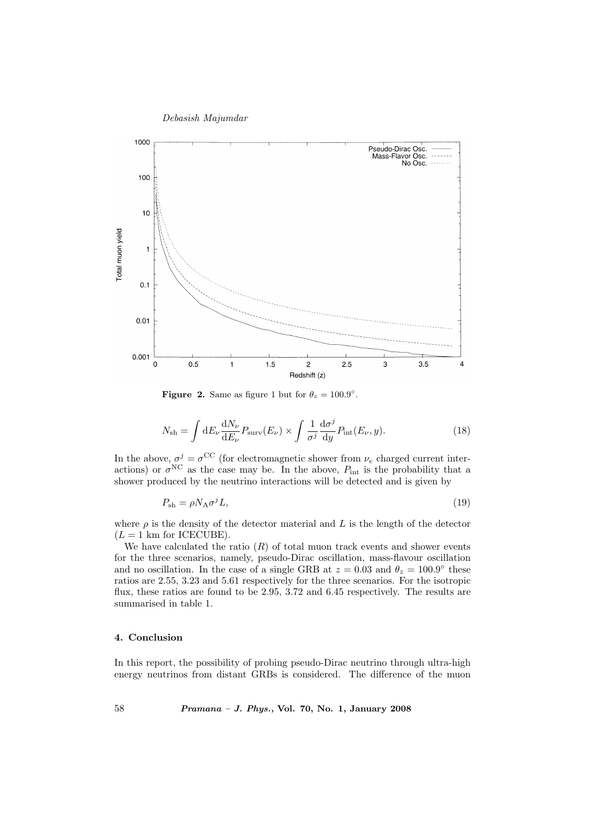

**Figure 2.** Same as figure 1 but for  $\theta_z = 100.9^\circ$ .

$$
N_{\rm sh} = \int dE_{\nu} \frac{dN_{\nu}}{dE_{\nu}} P_{\rm surv}(E_{\nu}) \times \int \frac{1}{\sigma^j} \frac{d\sigma^j}{dy} P_{\rm int}(E_{\nu}, y). \tag{18}
$$

In the above,  $\sigma^j = \sigma^{\rm CC}$  (for electromagnetic shower from  $\nu_e$  charged current interactions) or  $\sigma^{NC}$  as the case may be. In the above,  $P_{int}$  is the probability that a shower produced by the neutrino interactions will be detected and is given by

$$
P_{\rm sh} = \rho N_{\rm A} \sigma^j L,\tag{19}
$$

where  $\rho$  is the density of the detector material and L is the length of the detector  $(L = 1$  km for ICECUBE).

We have calculated the ratio  $(R)$  of total muon track events and shower events for the three scenarios, namely, pseudo-Dirac oscillation, mass-flavour oscillation and no oscillation. In the case of a single GRB at  $z = 0.03$  and  $\theta_z = 100.9^{\circ}$  these ratios are 2.55, 3.23 and 5.61 respectively for the three scenarios. For the isotropic flux, these ratios are found to be 2.95, 3.72 and 6.45 respectively. The results are summarised in table 1.

## 4. Conclusion

In this report, the possibility of probing pseudo-Dirac neutrino through ultra-high energy neutrinos from distant GRBs is considered. The difference of the muon

58 Pramana – J. Phys., Vol. 70, No. 1, January 2008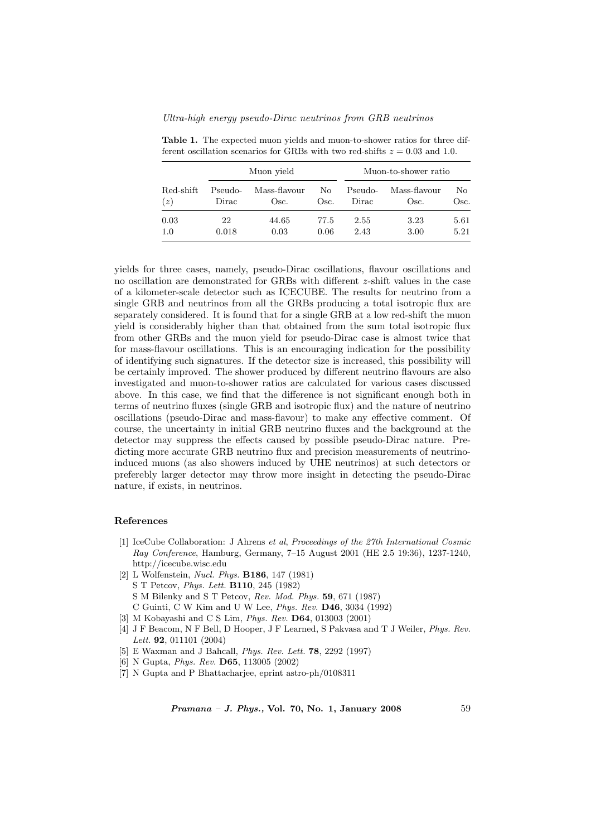| Red-shift<br>(z) | Muon vield       |                      |              | Muon-to-shower ratio |                      |              |
|------------------|------------------|----------------------|--------------|----------------------|----------------------|--------------|
|                  | Pseudo-<br>Dirac | Mass-flavour<br>Osc. | No.<br>Osc.  | Pseudo-<br>Dirac     | Mass-flavour<br>Osc. | No<br>Osc.   |
| 0.03<br>1.0      | 22<br>0.018      | 44.65<br>0.03        | 77.5<br>0.06 | 2.55<br>2.43         | 3.23<br>3.00         | 5.61<br>5.21 |

Table 1. The expected muon yields and muon-to-shower ratios for three different oscillation scenarios for GRBs with two red-shifts  $z = 0.03$  and 1.0.

yields for three cases, namely, pseudo-Dirac oscillations, flavour oscillations and no oscillation are demonstrated for GRBs with different z-shift values in the case of a kilometer-scale detector such as ICECUBE. The results for neutrino from a single GRB and neutrinos from all the GRBs producing a total isotropic flux are separately considered. It is found that for a single GRB at a low red-shift the muon yield is considerably higher than that obtained from the sum total isotropic flux from other GRBs and the muon yield for pseudo-Dirac case is almost twice that for mass-flavour oscillations. This is an encouraging indication for the possibility of identifying such signatures. If the detector size is increased, this possibility will be certainly improved. The shower produced by different neutrino flavours are also investigated and muon-to-shower ratios are calculated for various cases discussed above. In this case, we find that the difference is not significant enough both in terms of neutrino fluxes (single GRB and isotropic flux) and the nature of neutrino oscillations (pseudo-Dirac and mass-flavour) to make any effective comment. Of course, the uncertainty in initial GRB neutrino fluxes and the background at the detector may suppress the effects caused by possible pseudo-Dirac nature. Predicting more accurate GRB neutrino flux and precision measurements of neutrinoinduced muons (as also showers induced by UHE neutrinos) at such detectors or preferebly larger detector may throw more insight in detecting the pseudo-Dirac nature, if exists, in neutrinos.

#### References

- [1] IceCube Collaboration: J Ahrens et al, Proceedings of the 27th International Cosmic Ray Conference, Hamburg, Germany, 7–15 August 2001 (HE 2.5 19:36), 1237-1240, http://icecube.wisc.edu
- [2] L Wolfenstein, Nucl. Phys. B186, 147 (1981)
	- S T Petcov, Phys. Lett. B110, 245 (1982)
	- S M Bilenky and S T Petcov, Rev. Mod. Phys. 59, 671 (1987)
	- C Guinti, C W Kim and U W Lee, Phys. Rev. D46, 3034 (1992)
- [3] M Kobayashi and C S Lim, *Phys. Rev.* **D64**, 013003 (2001)
- [4] J F Beacom, N F Bell, D Hooper, J F Learned, S Pakvasa and T J Weiler, Phys. Rev. Lett. 92, 011101 (2004)
- [5] E Waxman and J Bahcall, Phys. Rev. Lett. 78, 2292 (1997)
- [6] N Gupta, Phys. Rev. D65, 113005 (2002)
- [7] N Gupta and P Bhattacharjee, eprint astro-ph/0108311